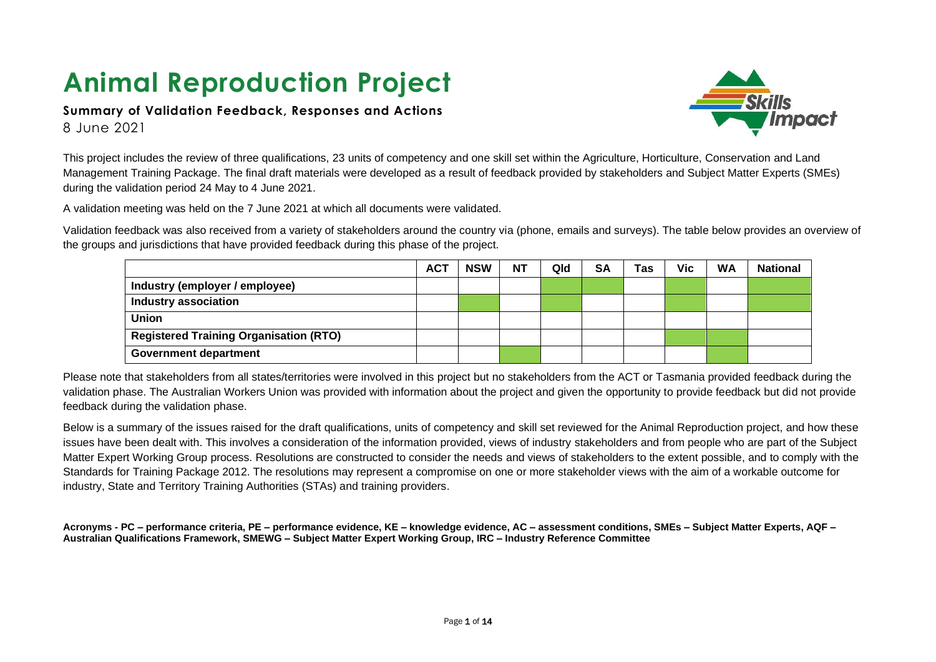# **Animal Reproduction Project**

#### **Summary of Validation Feedback, Responses and Actions** 8 June 2021



This project includes the review of three qualifications, 23 units of competency and one skill set within the Agriculture, Horticulture, Conservation and Land Management Training Package. The final draft materials were developed as a result of feedback provided by stakeholders and Subject Matter Experts (SMEs) during the validation period 24 May to 4 June 2021.

A validation meeting was held on the 7 June 2021 at which all documents were validated.

Validation feedback was also received from a variety of stakeholders around the country via (phone, emails and surveys). The table below provides an overview of the groups and jurisdictions that have provided feedback during this phase of the project.

|                                               | <b>ACT</b> | <b>NSW</b> | <b>NT</b> | Qld | SA | Tas | <b>Vic</b> | <b>WA</b> | <b>National</b> |
|-----------------------------------------------|------------|------------|-----------|-----|----|-----|------------|-----------|-----------------|
| Industry (employer / employee)                |            |            |           |     |    |     |            |           |                 |
| <b>Industry association</b>                   |            |            |           |     |    |     |            |           |                 |
| <b>Union</b>                                  |            |            |           |     |    |     |            |           |                 |
| <b>Registered Training Organisation (RTO)</b> |            |            |           |     |    |     |            |           |                 |
| Government department                         |            |            |           |     |    |     |            |           |                 |

Please note that stakeholders from all states/territories were involved in this project but no stakeholders from the ACT or Tasmania provided feedback during the validation phase. The Australian Workers Union was provided with information about the project and given the opportunity to provide feedback but did not provide feedback during the validation phase.

Below is a summary of the issues raised for the draft qualifications, units of competency and skill set reviewed for the Animal Reproduction project, and how these issues have been dealt with. This involves a consideration of the information provided, views of industry stakeholders and from people who are part of the Subject Matter Expert Working Group process. Resolutions are constructed to consider the needs and views of stakeholders to the extent possible, and to comply with the Standards for Training Package 2012. The resolutions may represent a compromise on one or more stakeholder views with the aim of a workable outcome for industry, State and Territory Training Authorities (STAs) and training providers.

**Acronyms - PC – performance criteria, PE – performance evidence, KE – knowledge evidence, AC – assessment conditions, SMEs – Subject Matter Experts, AQF – Australian Qualifications Framework, SMEWG – Subject Matter Expert Working Group, IRC – Industry Reference Committee**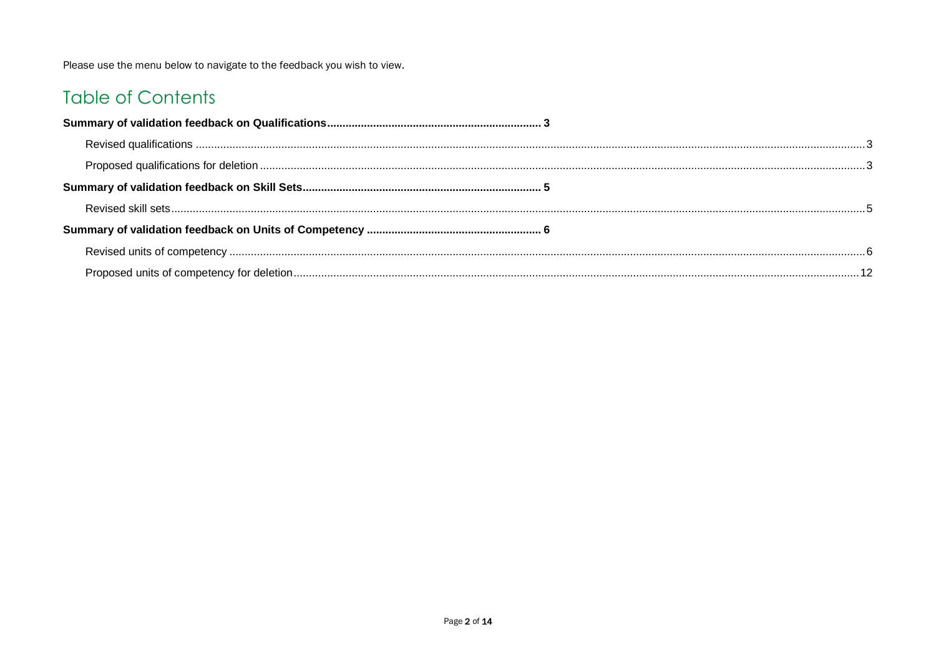Please use the menu below to navigate to the feedback you wish to view.

### **Table of Contents**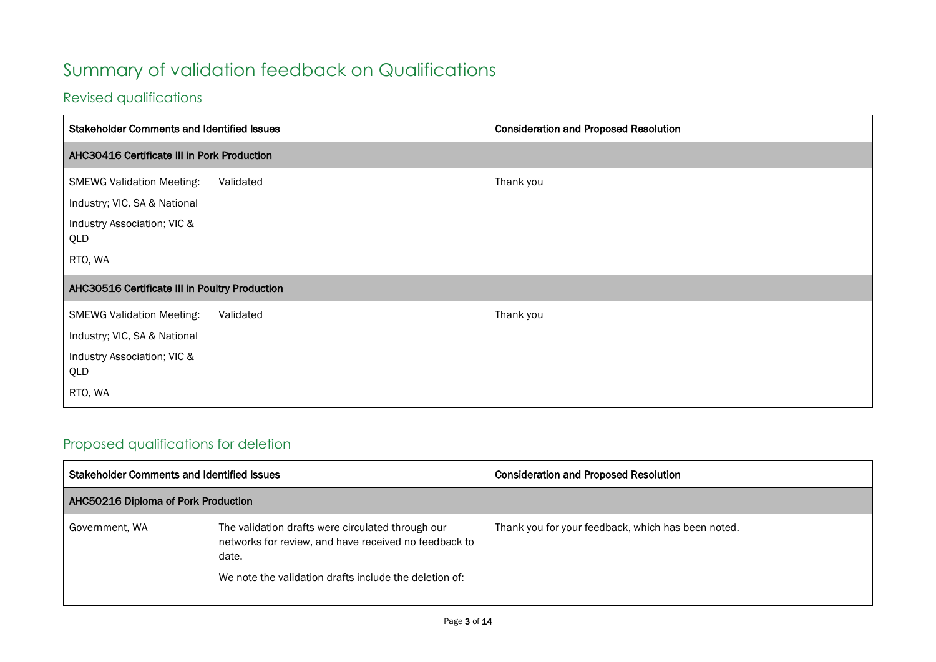## <span id="page-2-0"></span>Summary of validation feedback on Qualifications

### <span id="page-2-1"></span>Revised qualifications

| <b>Stakeholder Comments and Identified Issues</b> |           | <b>Consideration and Proposed Resolution</b> |
|---------------------------------------------------|-----------|----------------------------------------------|
| AHC30416 Certificate III in Pork Production       |           |                                              |
| <b>SMEWG Validation Meeting:</b>                  | Validated | Thank you                                    |
| Industry; VIC, SA & National                      |           |                                              |
| Industry Association; VIC &<br>QLD                |           |                                              |
| RTO, WA                                           |           |                                              |
| AHC30516 Certificate III in Poultry Production    |           |                                              |
| <b>SMEWG Validation Meeting:</b>                  | Validated | Thank you                                    |
| Industry; VIC, SA & National                      |           |                                              |
| Industry Association; VIC &<br>QLD                |           |                                              |
| RTO, WA                                           |           |                                              |

### <span id="page-2-2"></span>Proposed qualifications for deletion

| <b>Stakeholder Comments and Identified Issues</b> |                                                                                                                                                                               | <b>Consideration and Proposed Resolution</b>       |
|---------------------------------------------------|-------------------------------------------------------------------------------------------------------------------------------------------------------------------------------|----------------------------------------------------|
| AHC50216 Diploma of Pork Production               |                                                                                                                                                                               |                                                    |
| Government, WA                                    | The validation drafts were circulated through our<br>networks for review, and have received no feedback to<br>date.<br>We note the validation drafts include the deletion of: | Thank you for your feedback, which has been noted. |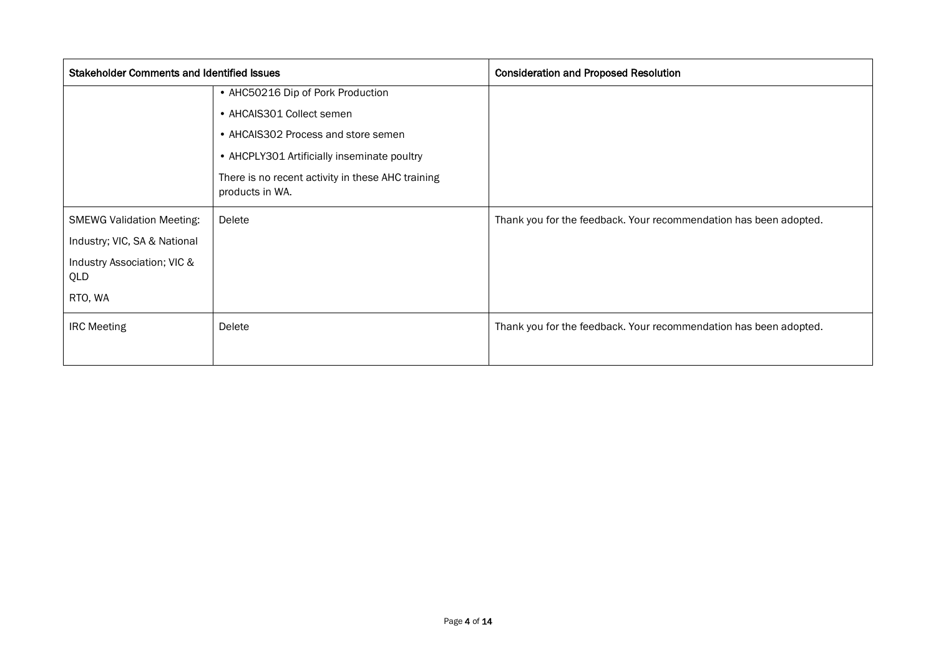| <b>Stakeholder Comments and Identified Issues</b> |                                                                      | <b>Consideration and Proposed Resolution</b>                      |
|---------------------------------------------------|----------------------------------------------------------------------|-------------------------------------------------------------------|
|                                                   | • AHC50216 Dip of Pork Production                                    |                                                                   |
|                                                   | • AHCAIS301 Collect semen                                            |                                                                   |
|                                                   | • AHCAIS302 Process and store semen                                  |                                                                   |
|                                                   | • AHCPLY301 Artificially inseminate poultry                          |                                                                   |
|                                                   | There is no recent activity in these AHC training<br>products in WA. |                                                                   |
| <b>SMEWG Validation Meeting:</b>                  | Delete                                                               | Thank you for the feedback. Your recommendation has been adopted. |
| Industry; VIC, SA & National                      |                                                                      |                                                                   |
| Industry Association; VIC &<br>QLD                |                                                                      |                                                                   |
| RTO, WA                                           |                                                                      |                                                                   |
| <b>IRC Meeting</b>                                | Delete                                                               | Thank you for the feedback. Your recommendation has been adopted. |
|                                                   |                                                                      |                                                                   |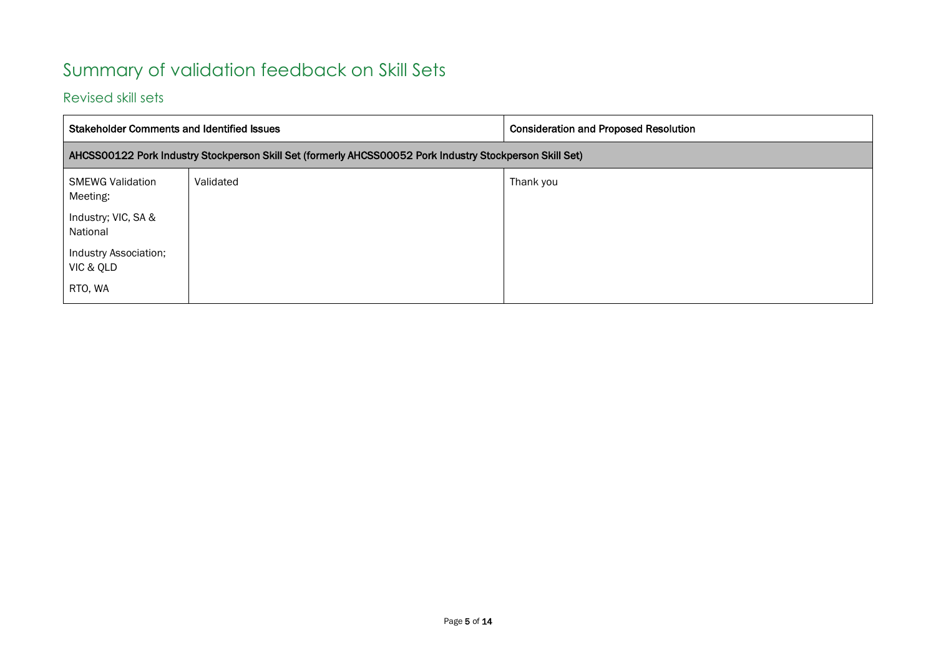### <span id="page-4-0"></span>Summary of validation feedback on Skill Sets

#### <span id="page-4-1"></span>Revised skill sets

| <b>Stakeholder Comments and Identified Issues</b> |                                                                                                          | <b>Consideration and Proposed Resolution</b> |
|---------------------------------------------------|----------------------------------------------------------------------------------------------------------|----------------------------------------------|
|                                                   | AHCSS00122 Pork Industry Stockperson Skill Set (formerly AHCSS00052 Pork Industry Stockperson Skill Set) |                                              |
| <b>SMEWG Validation</b><br>Meeting:               | Validated                                                                                                | Thank you                                    |
| Industry; VIC, SA &<br>National                   |                                                                                                          |                                              |
| Industry Association;<br>VIC & QLD                |                                                                                                          |                                              |
| RTO, WA                                           |                                                                                                          |                                              |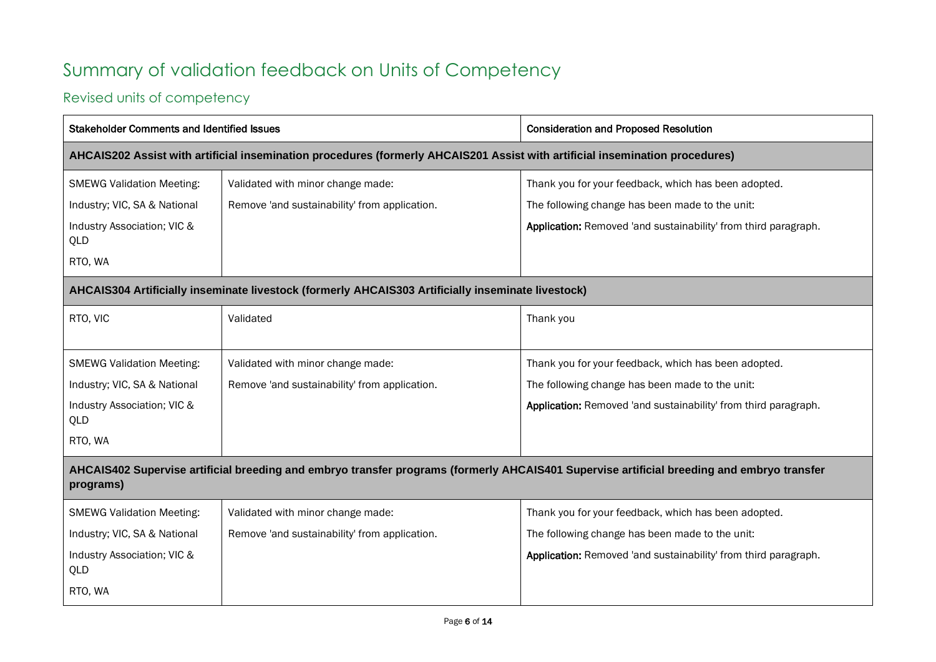## <span id="page-5-0"></span>Summary of validation feedback on Units of Competency

### <span id="page-5-1"></span>Revised units of competency

| <b>Stakeholder Comments and Identified Issues</b> |                                                                                                                              | <b>Consideration and Proposed Resolution</b>                                                                                               |  |
|---------------------------------------------------|------------------------------------------------------------------------------------------------------------------------------|--------------------------------------------------------------------------------------------------------------------------------------------|--|
|                                                   | AHCAIS202 Assist with artificial insemination procedures (formerly AHCAIS201 Assist with artificial insemination procedures) |                                                                                                                                            |  |
| <b>SMEWG Validation Meeting:</b>                  | Validated with minor change made:                                                                                            | Thank you for your feedback, which has been adopted.                                                                                       |  |
| Industry; VIC, SA & National                      | Remove 'and sustainability' from application.                                                                                | The following change has been made to the unit:                                                                                            |  |
| Industry Association; VIC &<br>QLD                |                                                                                                                              | Application: Removed 'and sustainability' from third paragraph.                                                                            |  |
| RTO, WA                                           |                                                                                                                              |                                                                                                                                            |  |
|                                                   | AHCAIS304 Artificially inseminate livestock (formerly AHCAIS303 Artificially inseminate livestock)                           |                                                                                                                                            |  |
| RTO, VIC                                          | Validated                                                                                                                    | Thank you                                                                                                                                  |  |
|                                                   |                                                                                                                              |                                                                                                                                            |  |
| <b>SMEWG Validation Meeting:</b>                  | Validated with minor change made:                                                                                            | Thank you for your feedback, which has been adopted.                                                                                       |  |
| Industry; VIC, SA & National                      | Remove 'and sustainability' from application.                                                                                | The following change has been made to the unit:                                                                                            |  |
| Industry Association; VIC &<br>QLD                |                                                                                                                              | Application: Removed 'and sustainability' from third paragraph.                                                                            |  |
| RTO, WA                                           |                                                                                                                              |                                                                                                                                            |  |
| programs)                                         |                                                                                                                              | AHCAIS402 Supervise artificial breeding and embryo transfer programs (formerly AHCAIS401 Supervise artificial breeding and embryo transfer |  |
| <b>SMEWG Validation Meeting:</b>                  | Validated with minor change made:                                                                                            | Thank you for your feedback, which has been adopted.                                                                                       |  |
| Industry; VIC, SA & National                      | Remove 'and sustainability' from application.                                                                                | The following change has been made to the unit:                                                                                            |  |
| Industry Association; VIC &<br>QLD                |                                                                                                                              | Application: Removed 'and sustainability' from third paragraph.                                                                            |  |
| RTO, WA                                           |                                                                                                                              |                                                                                                                                            |  |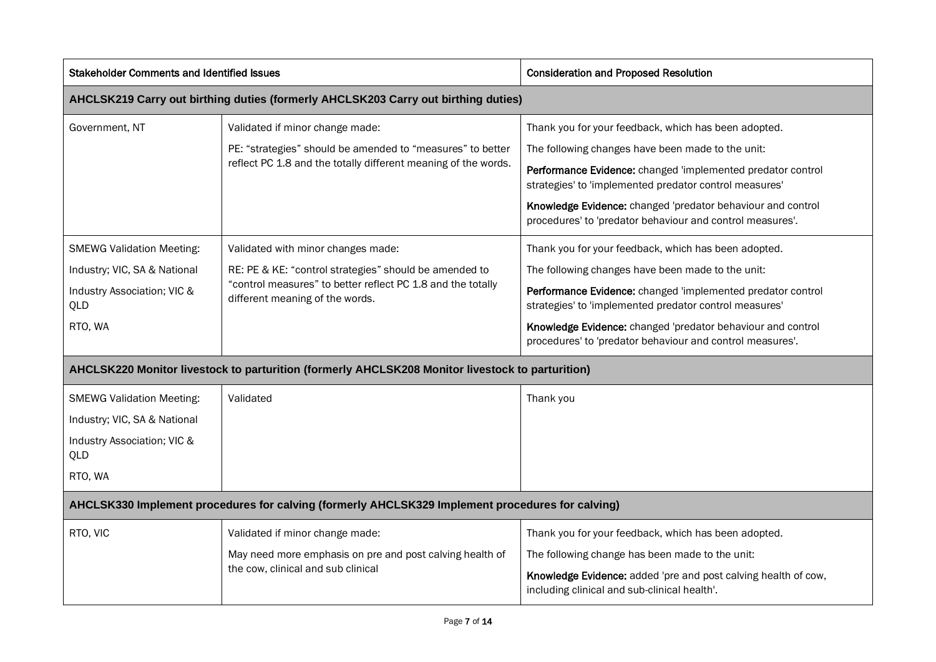| <b>Stakeholder Comments and Identified Issues</b>                                                                 |                                                                                                                                                                                                | <b>Consideration and Proposed Resolution</b>                                                                                                                                                                                                                                                                                                                   |  |
|-------------------------------------------------------------------------------------------------------------------|------------------------------------------------------------------------------------------------------------------------------------------------------------------------------------------------|----------------------------------------------------------------------------------------------------------------------------------------------------------------------------------------------------------------------------------------------------------------------------------------------------------------------------------------------------------------|--|
|                                                                                                                   | AHCLSK219 Carry out birthing duties (formerly AHCLSK203 Carry out birthing duties)                                                                                                             |                                                                                                                                                                                                                                                                                                                                                                |  |
| Government, NT                                                                                                    | Validated if minor change made:<br>PE: "strategies" should be amended to "measures" to better<br>reflect PC 1.8 and the totally different meaning of the words.                                | Thank you for your feedback, which has been adopted.<br>The following changes have been made to the unit:<br>Performance Evidence: changed 'implemented predator control<br>strategies' to 'implemented predator control measures'<br>Knowledge Evidence: changed 'predator behaviour and control<br>procedures' to 'predator behaviour and control measures'. |  |
| <b>SMEWG Validation Meeting:</b><br>Industry; VIC, SA & National<br>Industry Association; VIC &<br>QLD<br>RTO, WA | Validated with minor changes made:<br>RE: PE & KE: "control strategies" should be amended to<br>"control measures" to better reflect PC 1.8 and the totally<br>different meaning of the words. | Thank you for your feedback, which has been adopted.<br>The following changes have been made to the unit:<br>Performance Evidence: changed 'implemented predator control<br>strategies' to 'implemented predator control measures'<br>Knowledge Evidence: changed 'predator behaviour and control<br>procedures' to 'predator behaviour and control measures'. |  |
|                                                                                                                   | AHCLSK220 Monitor livestock to parturition (formerly AHCLSK208 Monitor livestock to parturition)                                                                                               |                                                                                                                                                                                                                                                                                                                                                                |  |
| <b>SMEWG Validation Meeting:</b><br>Industry; VIC, SA & National<br>Industry Association; VIC &<br>QLD<br>RTO, WA | Validated                                                                                                                                                                                      | Thank you                                                                                                                                                                                                                                                                                                                                                      |  |
|                                                                                                                   | AHCLSK330 Implement procedures for calving (formerly AHCLSK329 Implement procedures for calving)                                                                                               |                                                                                                                                                                                                                                                                                                                                                                |  |
| RTO, VIC                                                                                                          | Validated if minor change made:<br>May need more emphasis on pre and post calving health of<br>the cow, clinical and sub clinical                                                              | Thank you for your feedback, which has been adopted.<br>The following change has been made to the unit:<br>Knowledge Evidence: added 'pre and post calving health of cow,<br>including clinical and sub-clinical health'.                                                                                                                                      |  |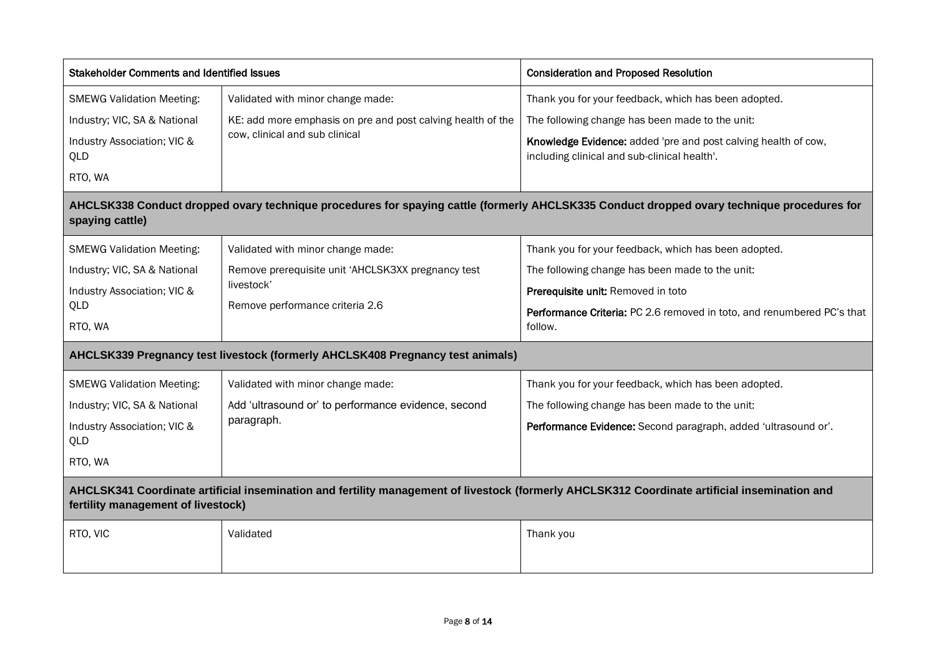| <b>Stakeholder Comments and Identified Issues</b> |                                                                                | <b>Consideration and Proposed Resolution</b>                                                                                                  |  |  |
|---------------------------------------------------|--------------------------------------------------------------------------------|-----------------------------------------------------------------------------------------------------------------------------------------------|--|--|
| <b>SMEWG Validation Meeting:</b>                  | Validated with minor change made:                                              | Thank you for your feedback, which has been adopted.                                                                                          |  |  |
| Industry; VIC, SA & National                      | KE: add more emphasis on pre and post calving health of the                    | The following change has been made to the unit:                                                                                               |  |  |
| Industry Association; VIC &<br>QLD                | cow, clinical and sub clinical                                                 | Knowledge Evidence: added 'pre and post calving health of cow,<br>including clinical and sub-clinical health'.                                |  |  |
| RTO, WA                                           |                                                                                |                                                                                                                                               |  |  |
| spaying cattle)                                   |                                                                                | AHCLSK338 Conduct dropped ovary technique procedures for spaying cattle (formerly AHCLSK335 Conduct dropped ovary technique procedures for    |  |  |
| <b>SMEWG Validation Meeting:</b>                  | Validated with minor change made:                                              | Thank you for your feedback, which has been adopted.                                                                                          |  |  |
| Industry; VIC, SA & National                      | Remove prerequisite unit 'AHCLSK3XX pregnancy test                             | The following change has been made to the unit:                                                                                               |  |  |
| Industry Association; VIC &                       | livestock'                                                                     | Prerequisite unit: Removed in toto                                                                                                            |  |  |
| QLD<br>RTO, WA                                    | Remove performance criteria 2.6                                                | Performance Criteria: PC 2.6 removed in toto, and renumbered PC's that<br>follow.                                                             |  |  |
|                                                   | AHCLSK339 Pregnancy test livestock (formerly AHCLSK408 Pregnancy test animals) |                                                                                                                                               |  |  |
| <b>SMEWG Validation Meeting:</b>                  | Validated with minor change made:                                              | Thank you for your feedback, which has been adopted.                                                                                          |  |  |
| Industry; VIC, SA & National                      | Add 'ultrasound or' to performance evidence, second                            | The following change has been made to the unit:                                                                                               |  |  |
| Industry Association; VIC &<br>QLD                | paragraph.                                                                     | Performance Evidence: Second paragraph, added 'ultrasound or'.                                                                                |  |  |
| RTO, WA                                           |                                                                                |                                                                                                                                               |  |  |
| fertility management of livestock)                |                                                                                | AHCLSK341 Coordinate artificial insemination and fertility management of livestock (formerly AHCLSK312 Coordinate artificial insemination and |  |  |
| RTO, VIC                                          | Validated                                                                      | Thank you                                                                                                                                     |  |  |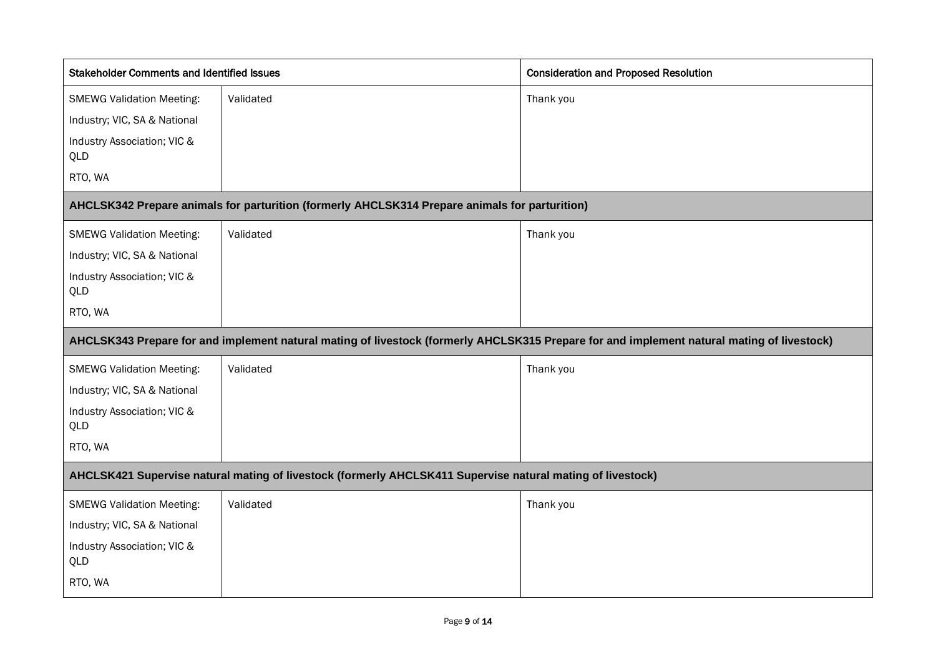| <b>Stakeholder Comments and Identified Issues</b> |                                                                                                            | <b>Consideration and Proposed Resolution</b>                                                                                               |
|---------------------------------------------------|------------------------------------------------------------------------------------------------------------|--------------------------------------------------------------------------------------------------------------------------------------------|
| <b>SMEWG Validation Meeting:</b>                  | Validated                                                                                                  | Thank you                                                                                                                                  |
| Industry; VIC, SA & National                      |                                                                                                            |                                                                                                                                            |
| Industry Association; VIC &<br>QLD                |                                                                                                            |                                                                                                                                            |
| RTO, WA                                           |                                                                                                            |                                                                                                                                            |
|                                                   | AHCLSK342 Prepare animals for parturition (formerly AHCLSK314 Prepare animals for parturition)             |                                                                                                                                            |
| <b>SMEWG Validation Meeting:</b>                  | Validated                                                                                                  | Thank you                                                                                                                                  |
| Industry; VIC, SA & National                      |                                                                                                            |                                                                                                                                            |
| Industry Association; VIC &<br>QLD                |                                                                                                            |                                                                                                                                            |
| RTO, WA                                           |                                                                                                            |                                                                                                                                            |
|                                                   |                                                                                                            | AHCLSK343 Prepare for and implement natural mating of livestock (formerly AHCLSK315 Prepare for and implement natural mating of livestock) |
| <b>SMEWG Validation Meeting:</b>                  | Validated                                                                                                  | Thank you                                                                                                                                  |
| Industry; VIC, SA & National                      |                                                                                                            |                                                                                                                                            |
| Industry Association; VIC &<br>QLD                |                                                                                                            |                                                                                                                                            |
| RTO, WA                                           |                                                                                                            |                                                                                                                                            |
|                                                   | AHCLSK421 Supervise natural mating of livestock (formerly AHCLSK411 Supervise natural mating of livestock) |                                                                                                                                            |
| <b>SMEWG Validation Meeting:</b>                  | Validated                                                                                                  | Thank you                                                                                                                                  |
| Industry; VIC, SA & National                      |                                                                                                            |                                                                                                                                            |
| Industry Association; VIC &<br>QLD                |                                                                                                            |                                                                                                                                            |
| RTO, WA                                           |                                                                                                            |                                                                                                                                            |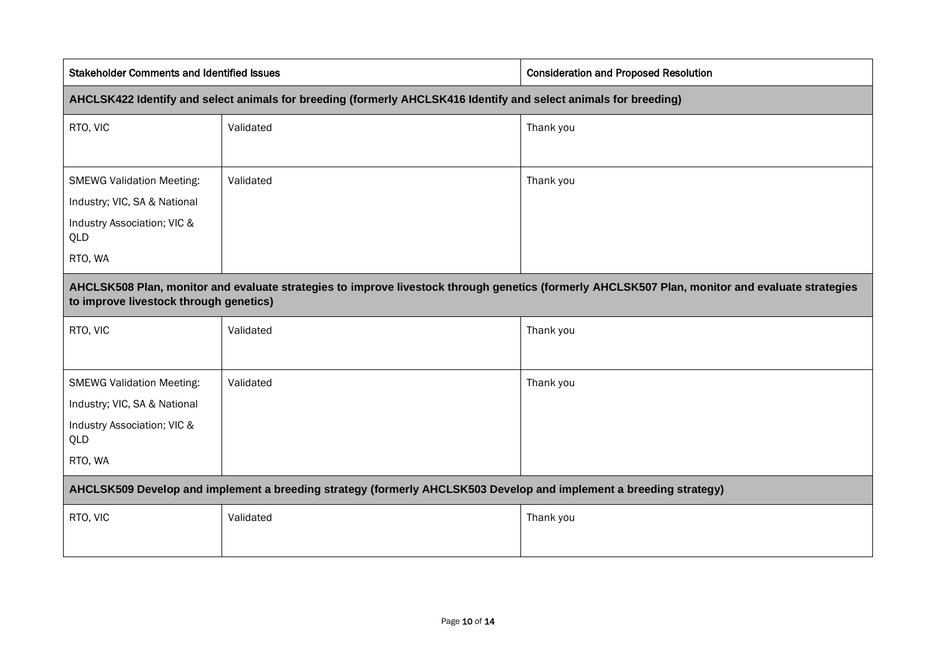| <b>Stakeholder Comments and Identified Issues</b>                                                                  | <b>Consideration and Proposed Resolution</b>                                                                                                    |  |
|--------------------------------------------------------------------------------------------------------------------|-------------------------------------------------------------------------------------------------------------------------------------------------|--|
| AHCLSK422 Identify and select animals for breeding (formerly AHCLSK416 Identify and select animals for breeding)   |                                                                                                                                                 |  |
| Validated                                                                                                          | Thank you                                                                                                                                       |  |
|                                                                                                                    |                                                                                                                                                 |  |
| Validated                                                                                                          | Thank you                                                                                                                                       |  |
|                                                                                                                    |                                                                                                                                                 |  |
|                                                                                                                    |                                                                                                                                                 |  |
|                                                                                                                    |                                                                                                                                                 |  |
| to improve livestock through genetics)                                                                             | AHCLSK508 Plan, monitor and evaluate strategies to improve livestock through genetics (formerly AHCLSK507 Plan, monitor and evaluate strategies |  |
| Validated                                                                                                          | Thank you                                                                                                                                       |  |
| Validated                                                                                                          | Thank you                                                                                                                                       |  |
|                                                                                                                    |                                                                                                                                                 |  |
|                                                                                                                    |                                                                                                                                                 |  |
|                                                                                                                    |                                                                                                                                                 |  |
| AHCLSK509 Develop and implement a breeding strategy (formerly AHCLSK503 Develop and implement a breeding strategy) |                                                                                                                                                 |  |
| Validated                                                                                                          | Thank you                                                                                                                                       |  |
|                                                                                                                    |                                                                                                                                                 |  |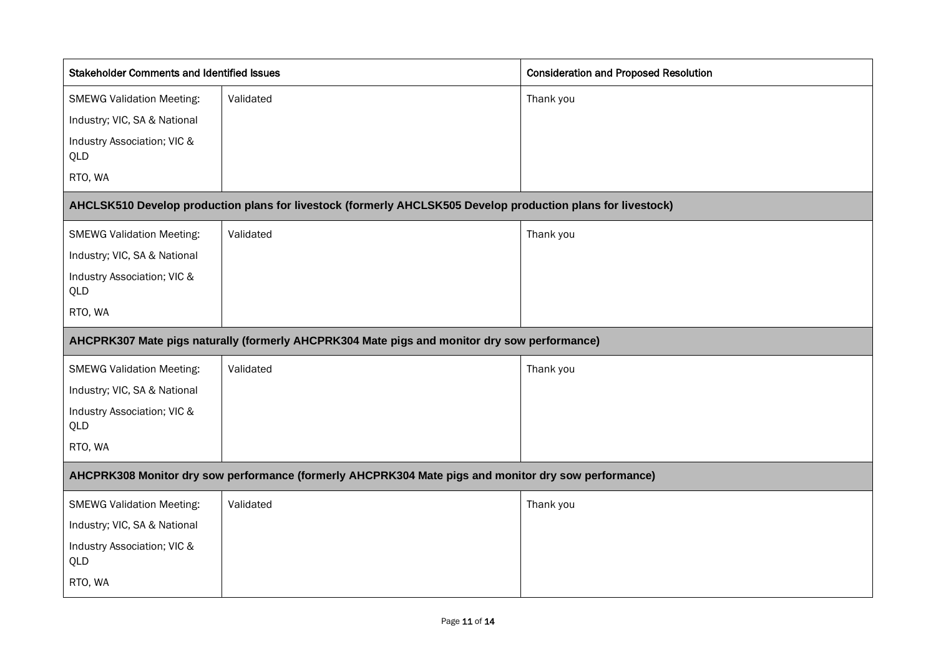| <b>Stakeholder Comments and Identified Issues</b> |                                                                                                              | <b>Consideration and Proposed Resolution</b> |
|---------------------------------------------------|--------------------------------------------------------------------------------------------------------------|----------------------------------------------|
| <b>SMEWG Validation Meeting:</b>                  | Validated                                                                                                    | Thank you                                    |
| Industry; VIC, SA & National                      |                                                                                                              |                                              |
| Industry Association; VIC &<br>QLD                |                                                                                                              |                                              |
| RTO, WA                                           |                                                                                                              |                                              |
|                                                   | AHCLSK510 Develop production plans for livestock (formerly AHCLSK505 Develop production plans for livestock) |                                              |
| <b>SMEWG Validation Meeting:</b>                  | Validated                                                                                                    | Thank you                                    |
| Industry; VIC, SA & National                      |                                                                                                              |                                              |
| Industry Association; VIC &<br>QLD                |                                                                                                              |                                              |
| RTO, WA                                           |                                                                                                              |                                              |
|                                                   | AHCPRK307 Mate pigs naturally (formerly AHCPRK304 Mate pigs and monitor dry sow performance)                 |                                              |
|                                                   |                                                                                                              |                                              |
| <b>SMEWG Validation Meeting:</b>                  | Validated                                                                                                    | Thank you                                    |
| Industry; VIC, SA & National                      |                                                                                                              |                                              |
| Industry Association; VIC &<br>QLD                |                                                                                                              |                                              |
| RTO, WA                                           |                                                                                                              |                                              |
|                                                   | AHCPRK308 Monitor dry sow performance (formerly AHCPRK304 Mate pigs and monitor dry sow performance)         |                                              |
| <b>SMEWG Validation Meeting:</b>                  | Validated                                                                                                    | Thank you                                    |
| Industry; VIC, SA & National                      |                                                                                                              |                                              |
| Industry Association; VIC &<br>QLD                |                                                                                                              |                                              |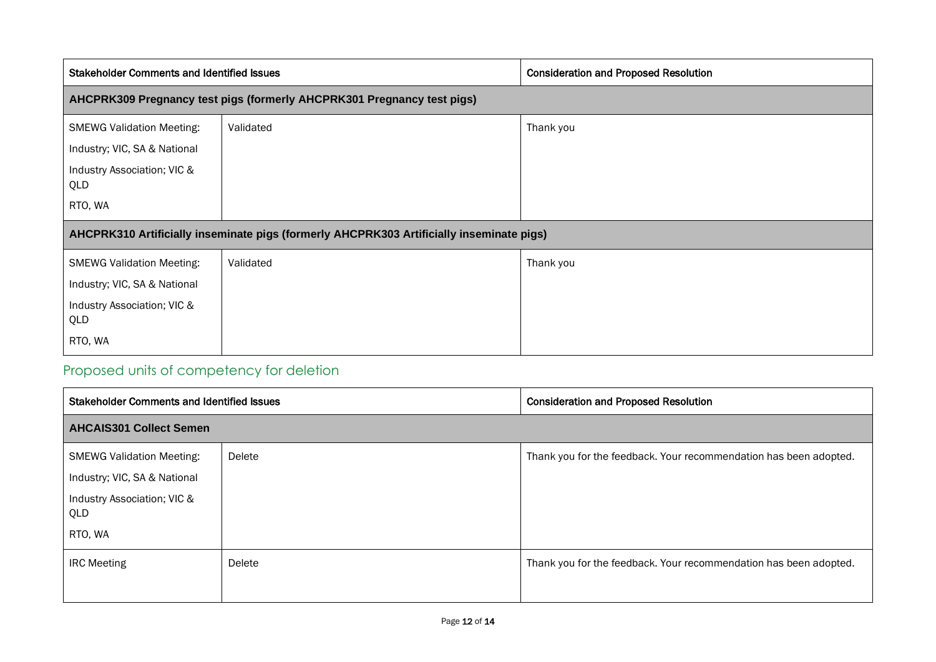| <b>Stakeholder Comments and Identified Issues</b>                                        |           | <b>Consideration and Proposed Resolution</b> |  |  |
|------------------------------------------------------------------------------------------|-----------|----------------------------------------------|--|--|
| AHCPRK309 Pregnancy test pigs (formerly AHCPRK301 Pregnancy test pigs)                   |           |                                              |  |  |
| <b>SMEWG Validation Meeting:</b>                                                         | Validated | Thank you                                    |  |  |
| Industry; VIC, SA & National                                                             |           |                                              |  |  |
| Industry Association; VIC &<br>QLD                                                       |           |                                              |  |  |
| RTO, WA                                                                                  |           |                                              |  |  |
| AHCPRK310 Artificially inseminate pigs (formerly AHCPRK303 Artificially inseminate pigs) |           |                                              |  |  |
| <b>SMEWG Validation Meeting:</b>                                                         | Validated | Thank you                                    |  |  |
| Industry; VIC, SA & National                                                             |           |                                              |  |  |
| Industry Association; VIC &<br>QLD                                                       |           |                                              |  |  |
| RTO, WA                                                                                  |           |                                              |  |  |

### <span id="page-11-0"></span>Proposed units of competency for deletion

| <b>Stakeholder Comments and Identified Issues</b> |        | <b>Consideration and Proposed Resolution</b>                      |  |  |
|---------------------------------------------------|--------|-------------------------------------------------------------------|--|--|
| <b>AHCAIS301 Collect Semen</b>                    |        |                                                                   |  |  |
| <b>SMEWG Validation Meeting:</b>                  | Delete | Thank you for the feedback. Your recommendation has been adopted. |  |  |
| Industry; VIC, SA & National                      |        |                                                                   |  |  |
| Industry Association; VIC &<br>QLD                |        |                                                                   |  |  |
| RTO, WA                                           |        |                                                                   |  |  |
| <b>IRC Meeting</b>                                | Delete | Thank you for the feedback. Your recommendation has been adopted. |  |  |
|                                                   |        |                                                                   |  |  |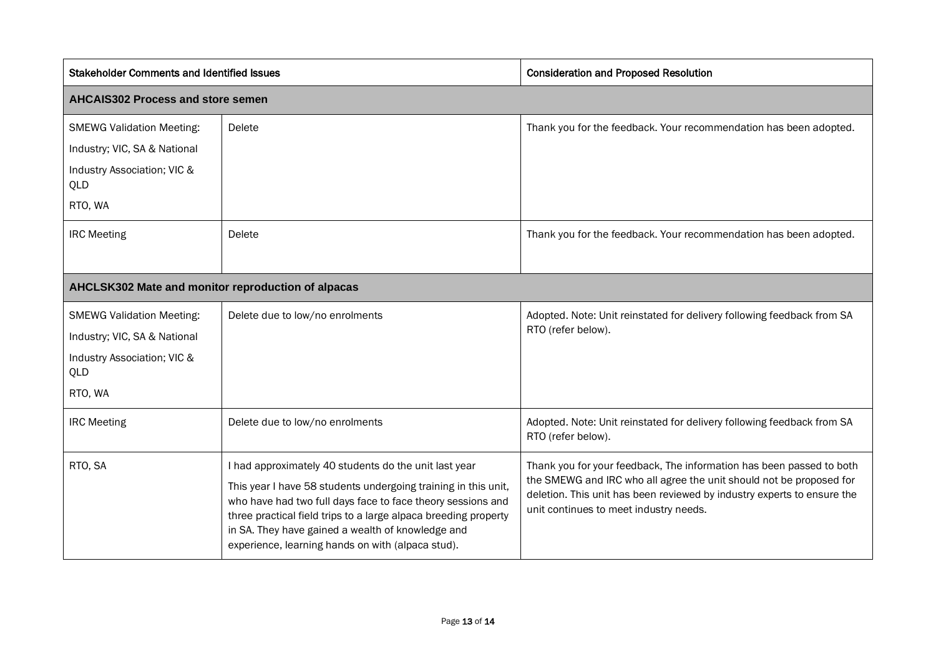| <b>Stakeholder Comments and Identified Issues</b>  |                                                                                                                                                                                                                                                                                                            | <b>Consideration and Proposed Resolution</b>                                                                                                                                                                                                                     |  |  |
|----------------------------------------------------|------------------------------------------------------------------------------------------------------------------------------------------------------------------------------------------------------------------------------------------------------------------------------------------------------------|------------------------------------------------------------------------------------------------------------------------------------------------------------------------------------------------------------------------------------------------------------------|--|--|
| <b>AHCAIS302 Process and store semen</b>           |                                                                                                                                                                                                                                                                                                            |                                                                                                                                                                                                                                                                  |  |  |
| <b>SMEWG Validation Meeting:</b>                   | Delete                                                                                                                                                                                                                                                                                                     | Thank you for the feedback. Your recommendation has been adopted.                                                                                                                                                                                                |  |  |
| Industry; VIC, SA & National                       |                                                                                                                                                                                                                                                                                                            |                                                                                                                                                                                                                                                                  |  |  |
| Industry Association; VIC &<br>QLD                 |                                                                                                                                                                                                                                                                                                            |                                                                                                                                                                                                                                                                  |  |  |
| RTO, WA                                            |                                                                                                                                                                                                                                                                                                            |                                                                                                                                                                                                                                                                  |  |  |
| <b>IRC Meeting</b>                                 | Delete                                                                                                                                                                                                                                                                                                     | Thank you for the feedback. Your recommendation has been adopted.                                                                                                                                                                                                |  |  |
| AHCLSK302 Mate and monitor reproduction of alpacas |                                                                                                                                                                                                                                                                                                            |                                                                                                                                                                                                                                                                  |  |  |
| <b>SMEWG Validation Meeting:</b>                   | Delete due to low/no enrolments                                                                                                                                                                                                                                                                            | Adopted. Note: Unit reinstated for delivery following feedback from SA                                                                                                                                                                                           |  |  |
| Industry; VIC, SA & National                       |                                                                                                                                                                                                                                                                                                            | RTO (refer below).                                                                                                                                                                                                                                               |  |  |
| Industry Association; VIC &<br>QLD                 |                                                                                                                                                                                                                                                                                                            |                                                                                                                                                                                                                                                                  |  |  |
| RTO, WA                                            |                                                                                                                                                                                                                                                                                                            |                                                                                                                                                                                                                                                                  |  |  |
| <b>IRC Meeting</b>                                 | Delete due to low/no enrolments                                                                                                                                                                                                                                                                            | Adopted. Note: Unit reinstated for delivery following feedback from SA<br>RTO (refer below).                                                                                                                                                                     |  |  |
| RTO, SA                                            | I had approximately 40 students do the unit last year                                                                                                                                                                                                                                                      | Thank you for your feedback, The information has been passed to both<br>the SMEWG and IRC who all agree the unit should not be proposed for<br>deletion. This unit has been reviewed by industry experts to ensure the<br>unit continues to meet industry needs. |  |  |
|                                                    | This year I have 58 students undergoing training in this unit,<br>who have had two full days face to face theory sessions and<br>three practical field trips to a large alpaca breeding property<br>in SA. They have gained a wealth of knowledge and<br>experience, learning hands on with (alpaca stud). |                                                                                                                                                                                                                                                                  |  |  |